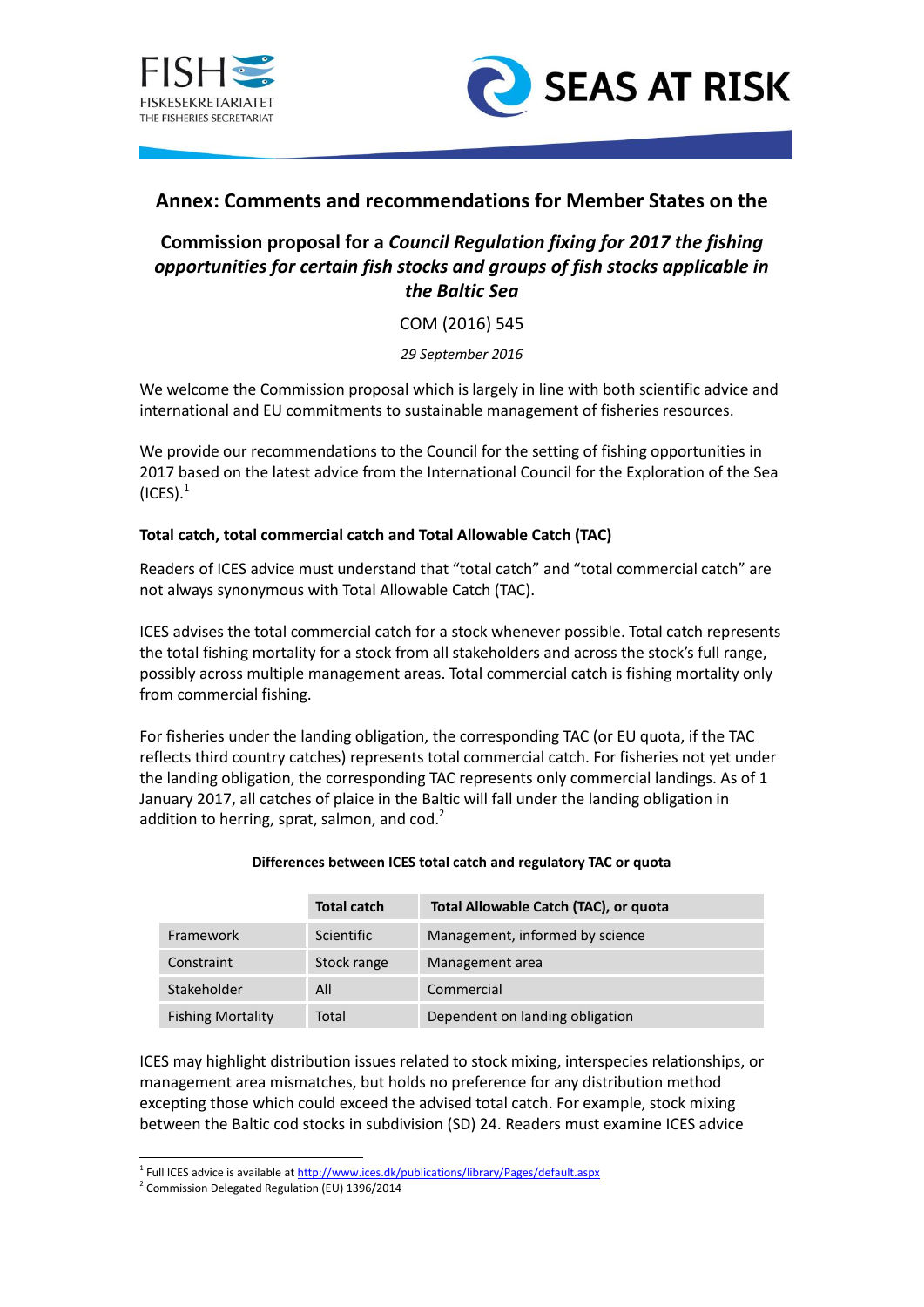



# **Annex: Comments and recommendations for Member States on the**

# **Commission proposal for a** *Council Regulation fixing for 2017 the fishing opportunities for certain fish stocks and groups of fish stocks applicable in the Baltic Sea*

COM (2016) 545

*29 September 2016*

We welcome the Commission proposal which is largely in line with both scientific advice and international and EU commitments to sustainable management of fisheries resources.

We provide our recommendations to the Council for the setting of fishing opportunities in 2017 based on the latest advice from the International Council for the Exploration of the Sea  $(ICES).<sup>1</sup>$ 

# **Total catch, total commercial catch and Total Allowable Catch (TAC)**

Readers of ICES advice must understand that "total catch" and "total commercial catch" are not always synonymous with Total Allowable Catch (TAC).

ICES advises the total commercial catch for a stock whenever possible. Total catch represents the total fishing mortality for a stock from all stakeholders and across the stock's full range, possibly across multiple management areas. Total commercial catch is fishing mortality only from commercial fishing.

For fisheries under the landing obligation, the corresponding TAC (or EU quota, if the TAC reflects third country catches) represents total commercial catch. For fisheries not yet under the landing obligation, the corresponding TAC represents only commercial landings. As of 1 January 2017, all catches of plaice in the Baltic will fall under the landing obligation in addition to herring, sprat, salmon, and  $\cot^2$ 

|                          | <b>Total catch</b> | Total Allowable Catch (TAC), or quota |
|--------------------------|--------------------|---------------------------------------|
| Framework                | Scientific         | Management, informed by science       |
| Constraint               | Stock range        | Management area                       |
| Stakeholder              | All                | Commercial                            |
| <b>Fishing Mortality</b> | Total              | Dependent on landing obligation       |

### **Differences between ICES total catch and regulatory TAC or quota**

ICES may highlight distribution issues related to stock mixing, interspecies relationships, or management area mismatches, but holds no preference for any distribution method excepting those which could exceed the advised total catch. For example, stock mixing between the Baltic cod stocks in subdivision (SD) 24. Readers must examine ICES advice

1

<sup>&</sup>lt;sup>1</sup> Full ICES advice is available a[t http://www.ices.dk/publications/library/Pages/default.aspx](http://www.ices.dk/publications/library/Pages/default.aspx)

<sup>&</sup>lt;sup>2</sup> Commission Delegated Regulation (EU) 1396/2014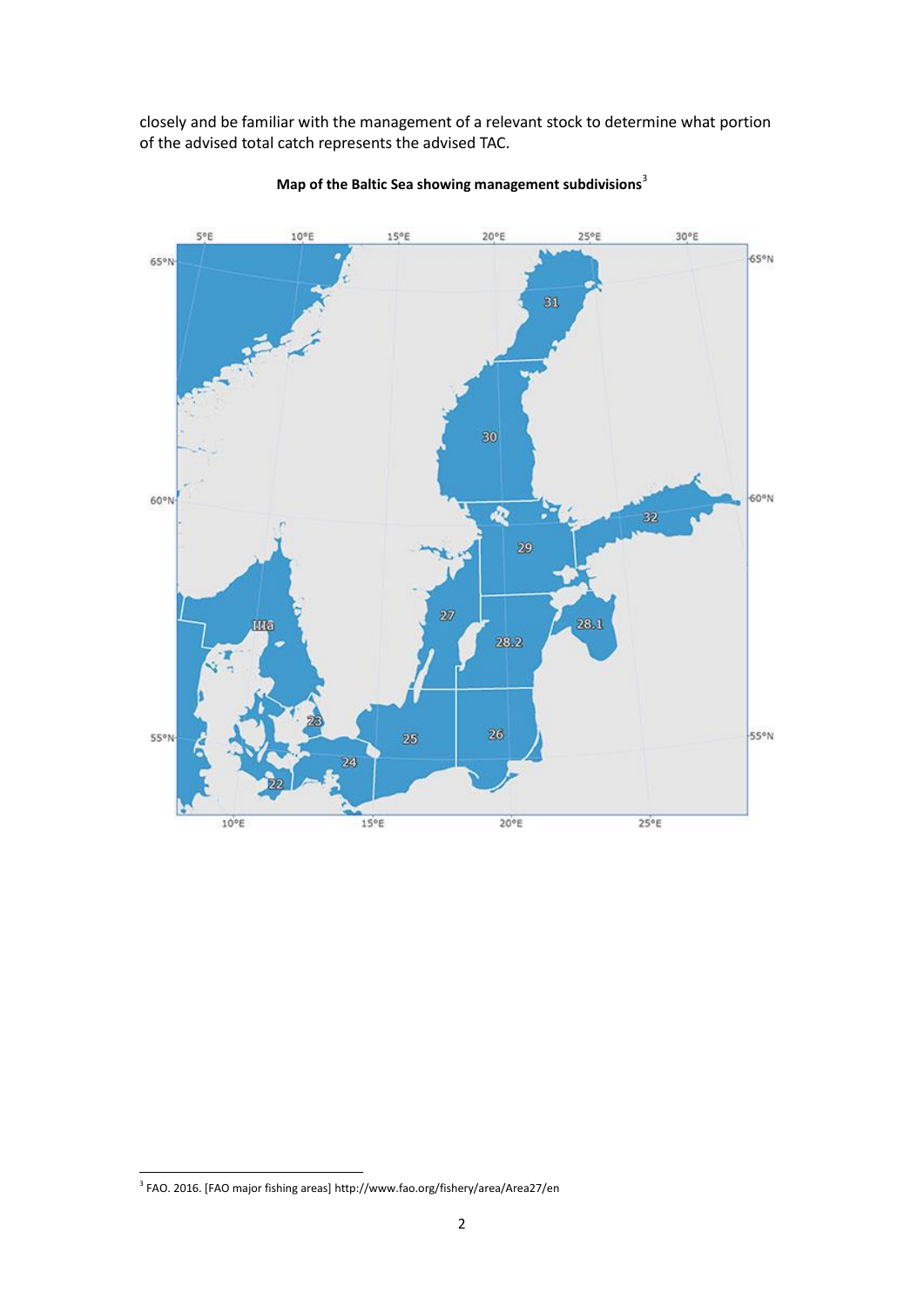closely and be familiar with the management of a relevant stock to determine what portion of the advised total catch represents the advised TAC.



**Map of the Baltic Sea showing management subdivisions**<sup>3</sup>

 3 FAO. 2016. [FAO major fishing areas] http://www.fao.org/fishery/area/Area27/en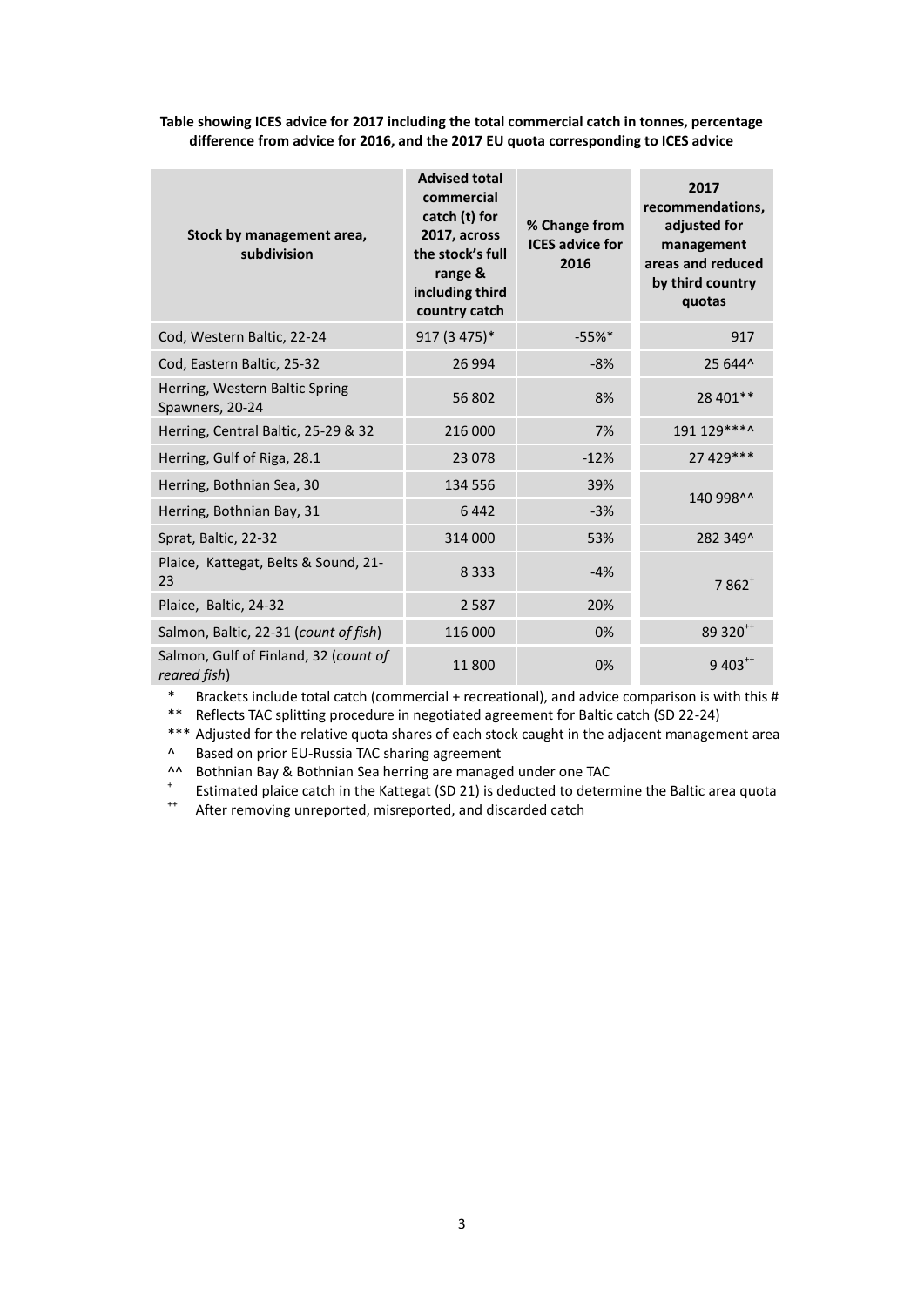**Table showing ICES advice for 2017 including the total commercial catch in tonnes, percentage difference from advice for 2016, and the 2017 EU quota corresponding to ICES advice**

| Stock by management area,<br>subdivision              | <b>Advised total</b><br>commercial<br>catch (t) for<br>2017, across<br>the stock's full<br>range &<br>including third<br>country catch | % Change from<br><b>ICES advice for</b><br>2016 | 2017<br>recommendations,<br>adjusted for<br>management<br>areas and reduced<br>by third country<br>quotas |
|-------------------------------------------------------|----------------------------------------------------------------------------------------------------------------------------------------|-------------------------------------------------|-----------------------------------------------------------------------------------------------------------|
| Cod, Western Baltic, 22-24                            | 917 (3 475)*                                                                                                                           | $-55%$ *                                        | 917                                                                                                       |
| Cod, Eastern Baltic, 25-32                            | 26 9 94                                                                                                                                | $-8%$                                           | 25 644^                                                                                                   |
| Herring, Western Baltic Spring<br>Spawners, 20-24     | 56 802                                                                                                                                 | 8%                                              | 28 401**                                                                                                  |
| Herring, Central Baltic, 25-29 & 32                   | 216 000                                                                                                                                | 7%                                              | 191 129 ****                                                                                              |
| Herring, Gulf of Riga, 28.1                           | 23 0 78                                                                                                                                | $-12%$                                          | 27 429 ***                                                                                                |
| Herring, Bothnian Sea, 30                             | 134 556                                                                                                                                | 39%                                             | 140 998^^                                                                                                 |
| Herring, Bothnian Bay, 31                             | 6442                                                                                                                                   | $-3%$                                           |                                                                                                           |
| Sprat, Baltic, 22-32                                  | 314 000                                                                                                                                | 53%                                             | 282 349^                                                                                                  |
| Plaice, Kattegat, Belts & Sound, 21-<br>23            | 8 3 3 3                                                                                                                                | $-4%$                                           | $7862+$                                                                                                   |
| Plaice, Baltic, 24-32                                 | 2587                                                                                                                                   | 20%                                             |                                                                                                           |
| Salmon, Baltic, 22-31 (count of fish)                 | 116 000                                                                                                                                | 0%                                              | 89 320 <sup>++</sup>                                                                                      |
| Salmon, Gulf of Finland, 32 (count of<br>reared fish) | 11800                                                                                                                                  | 0%                                              | 9 403**                                                                                                   |

\* Brackets include total catch (commercial + recreational), and advice comparison is with this # \*\* Reflects TAC splitting procedure in negotiated agreement for Baltic catch (SD 22-24)

\*\*\* Adjusted for the relative quota shares of each stock caught in the adjacent management area

^ Based on prior EU-Russia TAC sharing agreement

^^ Bothnian Bay & Bothnian Sea herring are managed under one TAC

+ Estimated plaice catch in the Kattegat (SD 21) is deducted to determine the Baltic area quota

++ After removing unreported, misreported, and discarded catch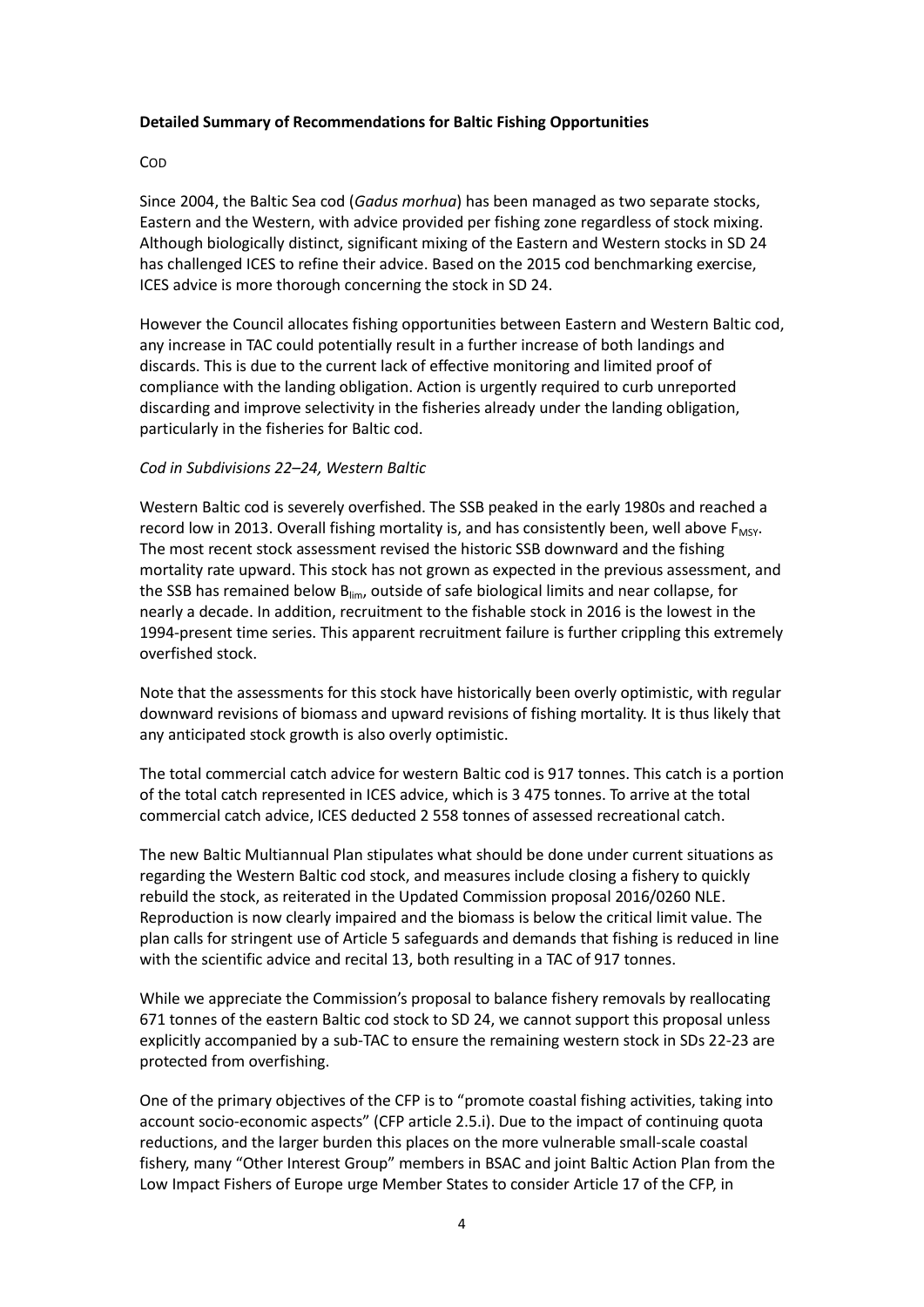### **Detailed Summary of Recommendations for Baltic Fishing Opportunities**

### COD

Since 2004, the Baltic Sea cod (*Gadus morhua*) has been managed as two separate stocks, Eastern and the Western, with advice provided per fishing zone regardless of stock mixing. Although biologically distinct, significant mixing of the Eastern and Western stocks in SD 24 has challenged ICES to refine their advice. Based on the 2015 cod benchmarking exercise, ICES advice is more thorough concerning the stock in SD 24.

However the Council allocates fishing opportunities between Eastern and Western Baltic cod, any increase in TAC could potentially result in a further increase of both landings and discards. This is due to the current lack of effective monitoring and limited proof of compliance with the landing obligation. Action is urgently required to curb unreported discarding and improve selectivity in the fisheries already under the landing obligation, particularly in the fisheries for Baltic cod.

### *Cod in Subdivisions 22–24, Western Baltic*

Western Baltic cod is severely overfished. The SSB peaked in the early 1980s and reached a record low in 2013. Overall fishing mortality is, and has consistently been, well above  $F_{MSY}$ . The most recent stock assessment revised the historic SSB downward and the fishing mortality rate upward. This stock has not grown as expected in the previous assessment, and the SSB has remained below  $B_{\text{lim}}$ , outside of safe biological limits and near collapse, for nearly a decade. In addition, recruitment to the fishable stock in 2016 is the lowest in the 1994-present time series. This apparent recruitment failure is further crippling this extremely overfished stock.

Note that the assessments for this stock have historically been overly optimistic, with regular downward revisions of biomass and upward revisions of fishing mortality. It is thus likely that any anticipated stock growth is also overly optimistic.

The total commercial catch advice for western Baltic cod is 917 tonnes. This catch is a portion of the total catch represented in ICES advice, which is 3 475 tonnes. To arrive at the total commercial catch advice, ICES deducted 2 558 tonnes of assessed recreational catch.

The new Baltic Multiannual Plan stipulates what should be done under current situations as regarding the Western Baltic cod stock, and measures include closing a fishery to quickly rebuild the stock, as reiterated in the Updated Commission proposal 2016/0260 NLE. Reproduction is now clearly impaired and the biomass is below the critical limit value. The plan calls for stringent use of Article 5 safeguards and demands that fishing is reduced in line with the scientific advice and recital 13, both resulting in a TAC of 917 tonnes.

While we appreciate the Commission's proposal to balance fishery removals by reallocating 671 tonnes of the eastern Baltic cod stock to SD 24, we cannot support this proposal unless explicitly accompanied by a sub-TAC to ensure the remaining western stock in SDs 22-23 are protected from overfishing.

One of the primary objectives of the CFP is to "promote coastal fishing activities, taking into account socio-economic aspects" (CFP article 2.5.i). Due to the impact of continuing quota reductions, and the larger burden this places on the more vulnerable small-scale coastal fishery, many "Other Interest Group" members in BSAC and joint Baltic Action Plan from the Low Impact Fishers of Europe urge Member States to consider Article 17 of the CFP, in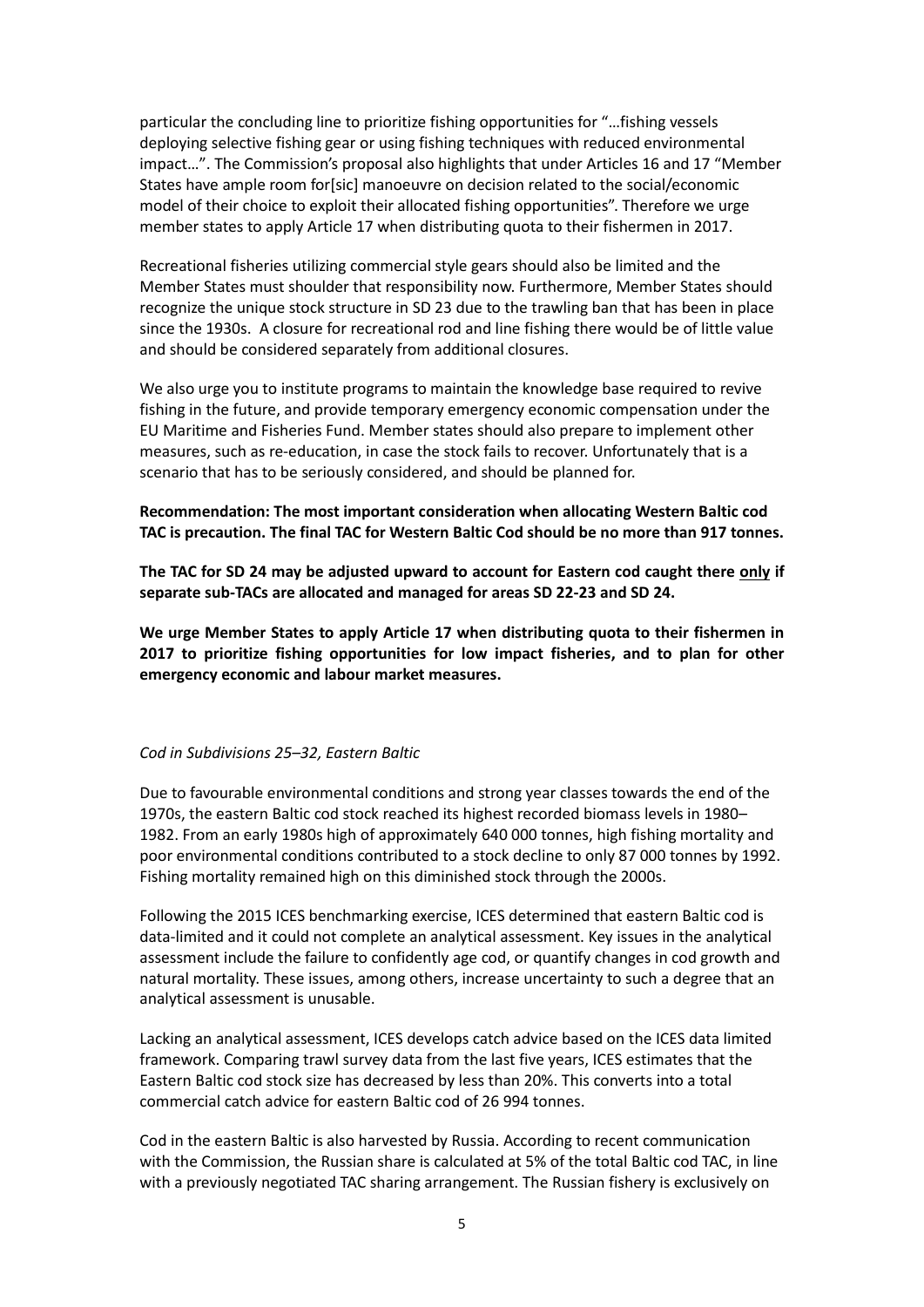particular the concluding line to prioritize fishing opportunities for "…fishing vessels deploying selective fishing gear or using fishing techniques with reduced environmental impact…". The Commission's proposal also highlights that under Articles 16 and 17 "Member States have ample room for[sic] manoeuvre on decision related to the social/economic model of their choice to exploit their allocated fishing opportunities". Therefore we urge member states to apply Article 17 when distributing quota to their fishermen in 2017.

Recreational fisheries utilizing commercial style gears should also be limited and the Member States must shoulder that responsibility now. Furthermore, Member States should recognize the unique stock structure in SD 23 due to the trawling ban that has been in place since the 1930s. A closure for recreational rod and line fishing there would be of little value and should be considered separately from additional closures.

We also urge you to institute programs to maintain the knowledge base required to revive fishing in the future, and provide temporary emergency economic compensation under the EU Maritime and Fisheries Fund. Member states should also prepare to implement other measures, such as re-education, in case the stock fails to recover. Unfortunately that is a scenario that has to be seriously considered, and should be planned for.

**Recommendation: The most important consideration when allocating Western Baltic cod TAC is precaution. The final TAC for Western Baltic Cod should be no more than 917 tonnes.**

**The TAC for SD 24 may be adjusted upward to account for Eastern cod caught there only if separate sub-TACs are allocated and managed for areas SD 22-23 and SD 24.**

**We urge Member States to apply Article 17 when distributing quota to their fishermen in 2017 to prioritize fishing opportunities for low impact fisheries, and to plan for other emergency economic and labour market measures.**

# *Cod in Subdivisions 25–32, Eastern Baltic*

Due to favourable environmental conditions and strong year classes towards the end of the 1970s, the eastern Baltic cod stock reached its highest recorded biomass levels in 1980– 1982. From an early 1980s high of approximately 640 000 tonnes, high fishing mortality and poor environmental conditions contributed to a stock decline to only 87 000 tonnes by 1992. Fishing mortality remained high on this diminished stock through the 2000s.

Following the 2015 ICES benchmarking exercise, ICES determined that eastern Baltic cod is data-limited and it could not complete an analytical assessment. Key issues in the analytical assessment include the failure to confidently age cod, or quantify changes in cod growth and natural mortality. These issues, among others, increase uncertainty to such a degree that an analytical assessment is unusable.

Lacking an analytical assessment, ICES develops catch advice based on the ICES data limited framework. Comparing trawl survey data from the last five years, ICES estimates that the Eastern Baltic cod stock size has decreased by less than 20%. This converts into a total commercial catch advice for eastern Baltic cod of 26 994 tonnes.

Cod in the eastern Baltic is also harvested by Russia. According to recent communication with the Commission, the Russian share is calculated at 5% of the total Baltic cod TAC, in line with a previously negotiated TAC sharing arrangement. The Russian fishery is exclusively on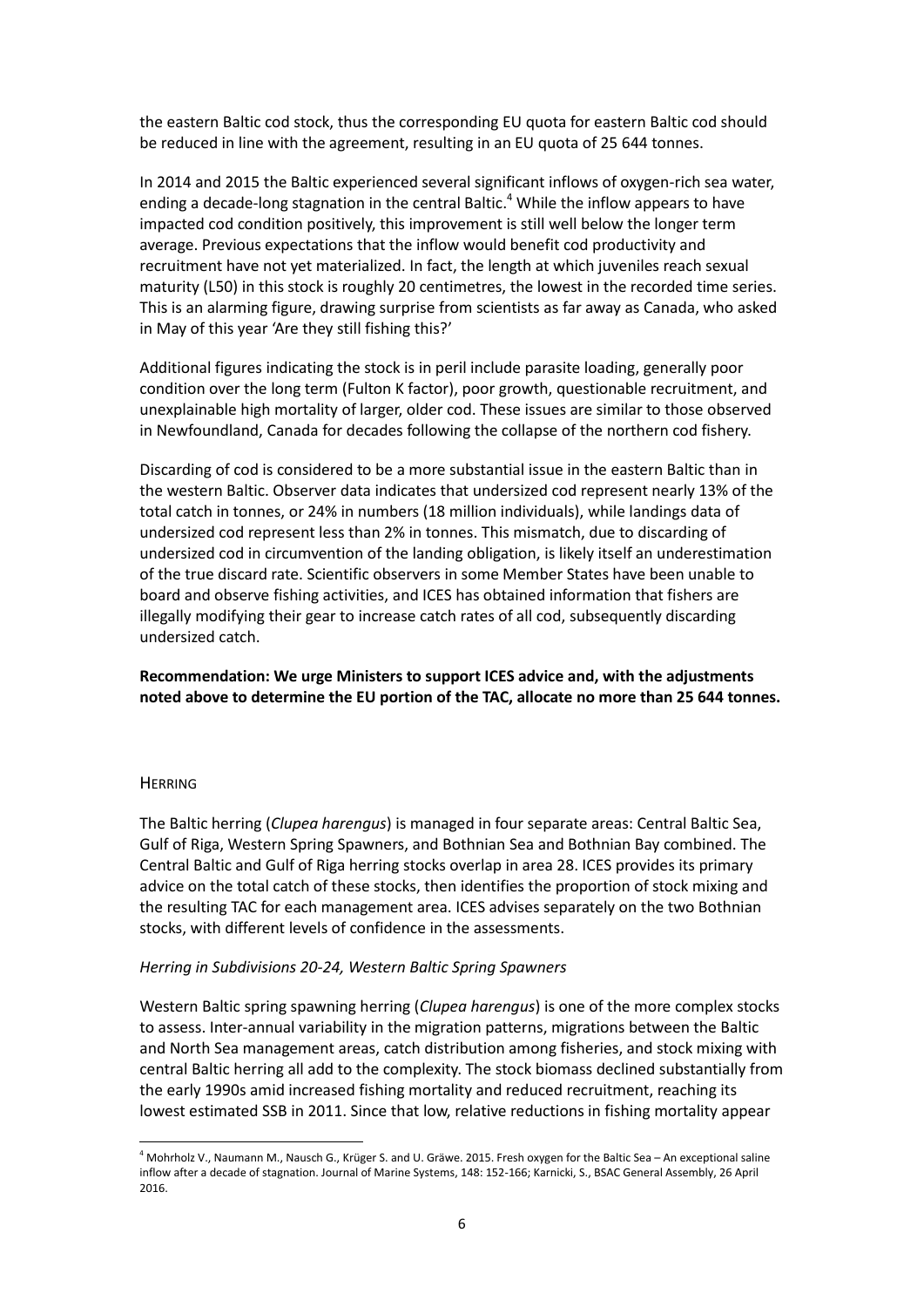the eastern Baltic cod stock, thus the corresponding EU quota for eastern Baltic cod should be reduced in line with the agreement, resulting in an EU quota of 25 644 tonnes.

In 2014 and 2015 the Baltic experienced several significant inflows of oxygen-rich sea water, ending a decade-long stagnation in the central Baltic.<sup>4</sup> While the inflow appears to have impacted cod condition positively, this improvement is still well below the longer term average. Previous expectations that the inflow would benefit cod productivity and recruitment have not yet materialized. In fact, the length at which juveniles reach sexual maturity (L50) in this stock is roughly 20 centimetres, the lowest in the recorded time series. This is an alarming figure, drawing surprise from scientists as far away as Canada, who asked in May of this year 'Are they still fishing this?'

Additional figures indicating the stock is in peril include parasite loading, generally poor condition over the long term (Fulton K factor), poor growth, questionable recruitment, and unexplainable high mortality of larger, older cod. These issues are similar to those observed in Newfoundland, Canada for decades following the collapse of the northern cod fishery.

Discarding of cod is considered to be a more substantial issue in the eastern Baltic than in the western Baltic. Observer data indicates that undersized cod represent nearly 13% of the total catch in tonnes, or 24% in numbers (18 million individuals), while landings data of undersized cod represent less than 2% in tonnes. This mismatch, due to discarding of undersized cod in circumvention of the landing obligation, is likely itself an underestimation of the true discard rate. Scientific observers in some Member States have been unable to board and observe fishing activities, and ICES has obtained information that fishers are illegally modifying their gear to increase catch rates of all cod, subsequently discarding undersized catch.

**Recommendation: We urge Ministers to support ICES advice and, with the adjustments noted above to determine the EU portion of the TAC, allocate no more than 25 644 tonnes.**

### **HERRING**

-

The Baltic herring (*Clupea harengus*) is managed in four separate areas: Central Baltic Sea, Gulf of Riga, Western Spring Spawners, and Bothnian Sea and Bothnian Bay combined. The Central Baltic and Gulf of Riga herring stocks overlap in area 28. ICES provides its primary advice on the total catch of these stocks, then identifies the proportion of stock mixing and the resulting TAC for each management area. ICES advises separately on the two Bothnian stocks, with different levels of confidence in the assessments.

### *Herring in Subdivisions 20-24, Western Baltic Spring Spawners*

Western Baltic spring spawning herring (*Clupea harengus*) is one of the more complex stocks to assess. Inter-annual variability in the migration patterns, migrations between the Baltic and North Sea management areas, catch distribution among fisheries, and stock mixing with central Baltic herring all add to the complexity. The stock biomass declined substantially from the early 1990s amid increased fishing mortality and reduced recruitment, reaching its lowest estimated SSB in 2011. Since that low, relative reductions in fishing mortality appear

<sup>4</sup> Mohrholz V., Naumann M., Nausch G., Krüger S. and U. Gräwe. 2015. Fresh oxygen for the Baltic Sea – An exceptional saline inflow after a decade of stagnation. Journal of Marine Systems, 148: 152-166; Karnicki, S., BSAC General Assembly, 26 April 2016.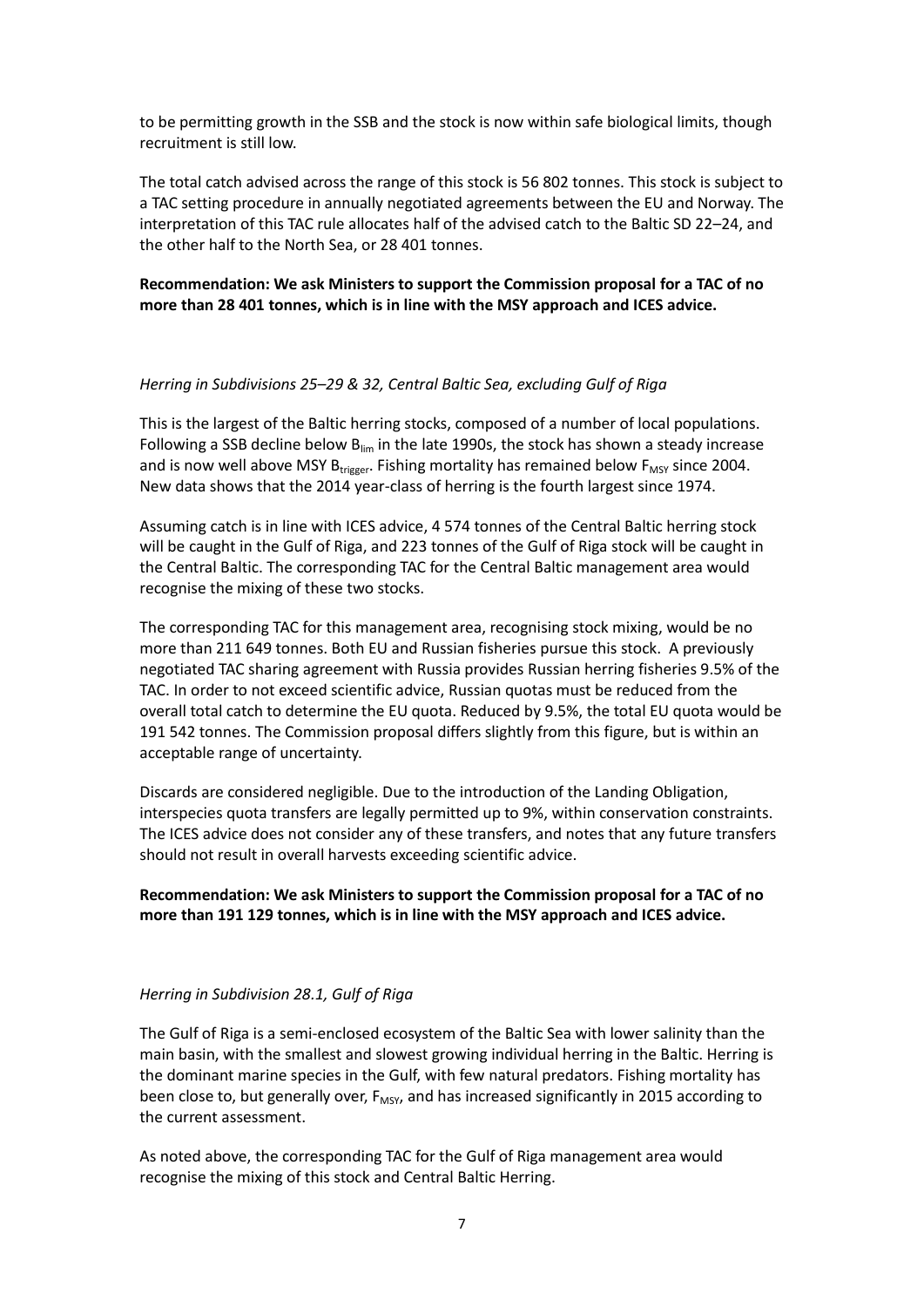to be permitting growth in the SSB and the stock is now within safe biological limits, though recruitment is still low.

The total catch advised across the range of this stock is 56 802 tonnes. This stock is subject to a TAC setting procedure in annually negotiated agreements between the EU and Norway. The interpretation of this TAC rule allocates half of the advised catch to the Baltic SD 22–24, and the other half to the North Sea, or 28 401 tonnes.

# **Recommendation: We ask Ministers to support the Commission proposal for a TAC of no more than 28 401 tonnes, which is in line with the MSY approach and ICES advice.**

# *Herring in Subdivisions 25–29 & 32, Central Baltic Sea, excluding Gulf of Riga*

This is the largest of the Baltic herring stocks, composed of a number of local populations. Following a SSB decline below  $B_{lim}$  in the late 1990s, the stock has shown a steady increase and is now well above MSY  $B_{trigger}$ . Fishing mortality has remained below  $F_{MSY}$  since 2004. New data shows that the 2014 year-class of herring is the fourth largest since 1974.

Assuming catch is in line with ICES advice, 4 574 tonnes of the Central Baltic herring stock will be caught in the Gulf of Riga, and 223 tonnes of the Gulf of Riga stock will be caught in the Central Baltic. The corresponding TAC for the Central Baltic management area would recognise the mixing of these two stocks.

The corresponding TAC for this management area, recognising stock mixing, would be no more than 211 649 tonnes. Both EU and Russian fisheries pursue this stock. A previously negotiated TAC sharing agreement with Russia provides Russian herring fisheries 9.5% of the TAC. In order to not exceed scientific advice, Russian quotas must be reduced from the overall total catch to determine the EU quota. Reduced by 9.5%, the total EU quota would be 191 542 tonnes. The Commission proposal differs slightly from this figure, but is within an acceptable range of uncertainty.

Discards are considered negligible. Due to the introduction of the Landing Obligation, interspecies quota transfers are legally permitted up to 9%, within conservation constraints. The ICES advice does not consider any of these transfers, and notes that any future transfers should not result in overall harvests exceeding scientific advice.

# **Recommendation: We ask Ministers to support the Commission proposal for a TAC of no more than 191 129 tonnes, which is in line with the MSY approach and ICES advice.**

# *Herring in Subdivision 28.1, Gulf of Riga*

The Gulf of Riga is a semi-enclosed ecosystem of the Baltic Sea with lower salinity than the main basin, with the smallest and slowest growing individual herring in the Baltic. Herring is the dominant marine species in the Gulf, with few natural predators. Fishing mortality has been close to, but generally over,  $F_{MSV}$ , and has increased significantly in 2015 according to the current assessment.

As noted above, the corresponding TAC for the Gulf of Riga management area would recognise the mixing of this stock and Central Baltic Herring.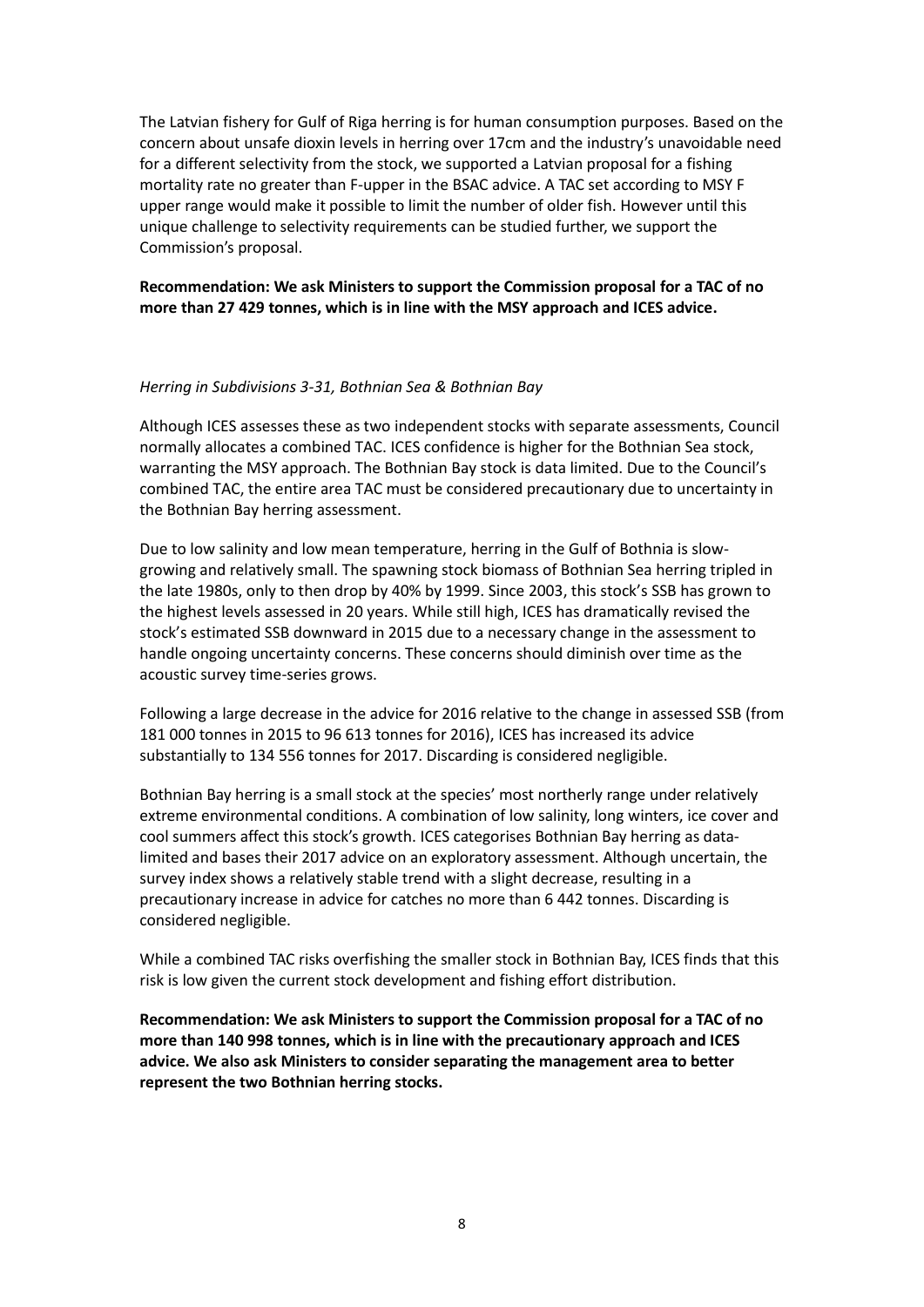The Latvian fishery for Gulf of Riga herring is for human consumption purposes. Based on the concern about unsafe dioxin levels in herring over 17cm and the industry's unavoidable need for a different selectivity from the stock, we supported a Latvian proposal for a fishing mortality rate no greater than F-upper in the BSAC advice. A TAC set according to MSY F upper range would make it possible to limit the number of older fish. However until this unique challenge to selectivity requirements can be studied further, we support the Commission's proposal.

# **Recommendation: We ask Ministers to support the Commission proposal for a TAC of no more than 27 429 tonnes, which is in line with the MSY approach and ICES advice.**

# *Herring in Subdivisions 3-31, Bothnian Sea & Bothnian Bay*

Although ICES assesses these as two independent stocks with separate assessments, Council normally allocates a combined TAC. ICES confidence is higher for the Bothnian Sea stock, warranting the MSY approach. The Bothnian Bay stock is data limited. Due to the Council's combined TAC, the entire area TAC must be considered precautionary due to uncertainty in the Bothnian Bay herring assessment.

Due to low salinity and low mean temperature, herring in the Gulf of Bothnia is slowgrowing and relatively small. The spawning stock biomass of Bothnian Sea herring tripled in the late 1980s, only to then drop by 40% by 1999. Since 2003, this stock's SSB has grown to the highest levels assessed in 20 years. While still high, ICES has dramatically revised the stock's estimated SSB downward in 2015 due to a necessary change in the assessment to handle ongoing uncertainty concerns. These concerns should diminish over time as the acoustic survey time-series grows.

Following a large decrease in the advice for 2016 relative to the change in assessed SSB (from 181 000 tonnes in 2015 to 96 613 tonnes for 2016), ICES has increased its advice substantially to 134 556 tonnes for 2017. Discarding is considered negligible.

Bothnian Bay herring is a small stock at the species' most northerly range under relatively extreme environmental conditions. A combination of low salinity, long winters, ice cover and cool summers affect this stock's growth. ICES categorises Bothnian Bay herring as datalimited and bases their 2017 advice on an exploratory assessment. Although uncertain, the survey index shows a relatively stable trend with a slight decrease, resulting in a precautionary increase in advice for catches no more than 6 442 tonnes. Discarding is considered negligible.

While a combined TAC risks overfishing the smaller stock in Bothnian Bay, ICES finds that this risk is low given the current stock development and fishing effort distribution.

**Recommendation: We ask Ministers to support the Commission proposal for a TAC of no more than 140 998 tonnes, which is in line with the precautionary approach and ICES advice. We also ask Ministers to consider separating the management area to better represent the two Bothnian herring stocks.**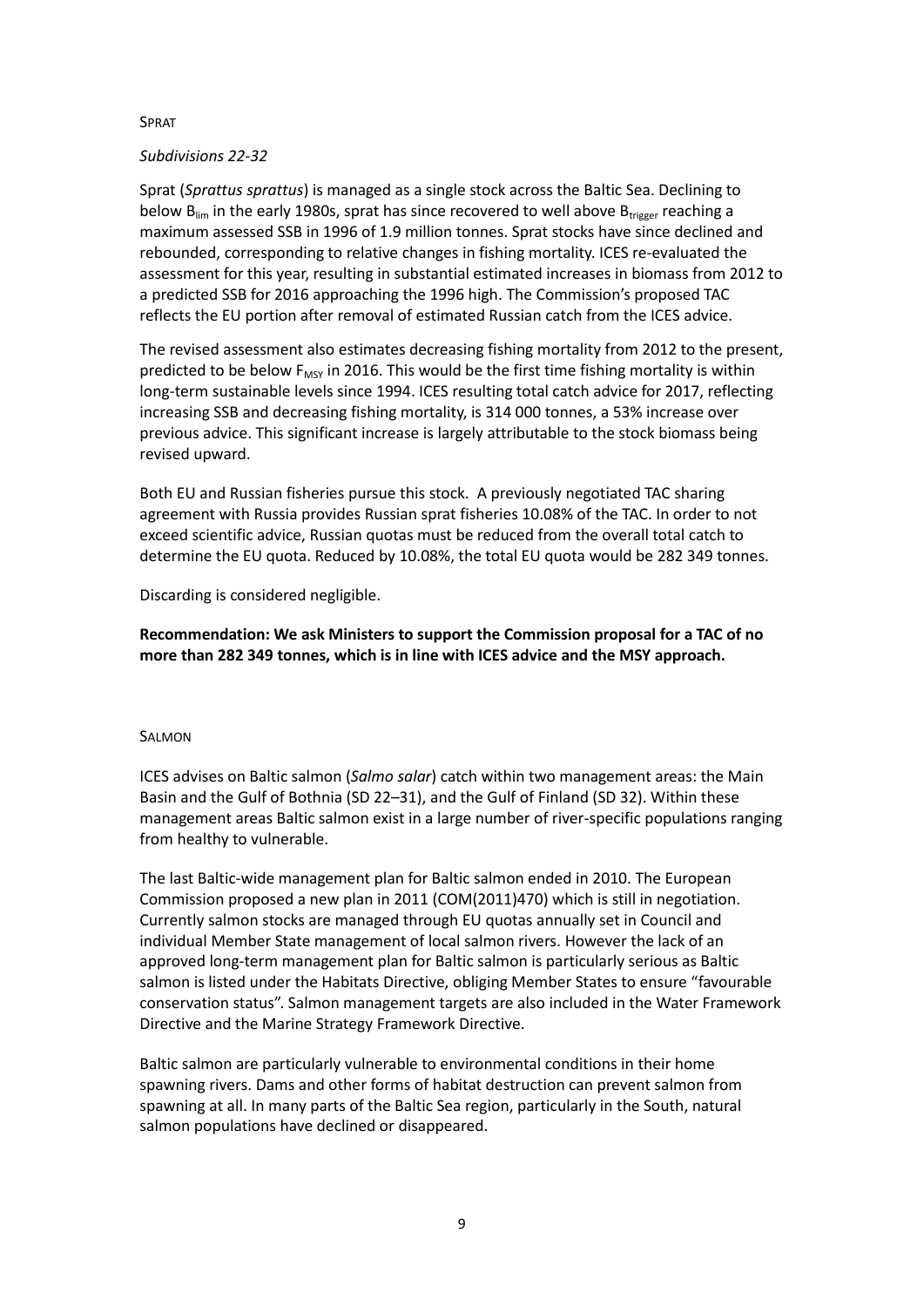### SPRAT

### *Subdivisions 22-32*

Sprat (*Sprattus sprattus*) is managed as a single stock across the Baltic Sea. Declining to below  $B_{lim}$  in the early 1980s, sprat has since recovered to well above  $B_{trigger}$  reaching a maximum assessed SSB in 1996 of 1.9 million tonnes. Sprat stocks have since declined and rebounded, corresponding to relative changes in fishing mortality. ICES re-evaluated the assessment for this year, resulting in substantial estimated increases in biomass from 2012 to a predicted SSB for 2016 approaching the 1996 high. The Commission's proposed TAC reflects the EU portion after removal of estimated Russian catch from the ICES advice.

The revised assessment also estimates decreasing fishing mortality from 2012 to the present, predicted to be below  $F_{MSY}$  in 2016. This would be the first time fishing mortality is within long-term sustainable levels since 1994. ICES resulting total catch advice for 2017, reflecting increasing SSB and decreasing fishing mortality, is 314 000 tonnes, a 53% increase over previous advice. This significant increase is largely attributable to the stock biomass being revised upward.

Both EU and Russian fisheries pursue this stock. A previously negotiated TAC sharing agreement with Russia provides Russian sprat fisheries 10.08% of the TAC. In order to not exceed scientific advice, Russian quotas must be reduced from the overall total catch to determine the EU quota. Reduced by 10.08%, the total EU quota would be 282 349 tonnes.

Discarding is considered negligible.

**Recommendation: We ask Ministers to support the Commission proposal for a TAC of no more than 282 349 tonnes, which is in line with ICES advice and the MSY approach.** 

# SALMON

ICES advises on Baltic salmon (*Salmo salar*) catch within two management areas: the Main Basin and the Gulf of Bothnia (SD 22–31), and the Gulf of Finland (SD 32). Within these management areas Baltic salmon exist in a large number of river-specific populations ranging from healthy to vulnerable.

The last Baltic-wide management plan for Baltic salmon ended in 2010. The European Commission proposed a new plan in 2011 (COM(2011)470) which is still in negotiation. Currently salmon stocks are managed through EU quotas annually set in Council and individual Member State management of local salmon rivers. However the lack of an approved long-term management plan for Baltic salmon is particularly serious as Baltic salmon is listed under the Habitats Directive, obliging Member States to ensure "favourable conservation status". Salmon management targets are also included in the Water Framework Directive and the Marine Strategy Framework Directive.

Baltic salmon are particularly vulnerable to environmental conditions in their home spawning rivers. Dams and other forms of habitat destruction can prevent salmon from spawning at all. In many parts of the Baltic Sea region, particularly in the South, natural salmon populations have declined or disappeared.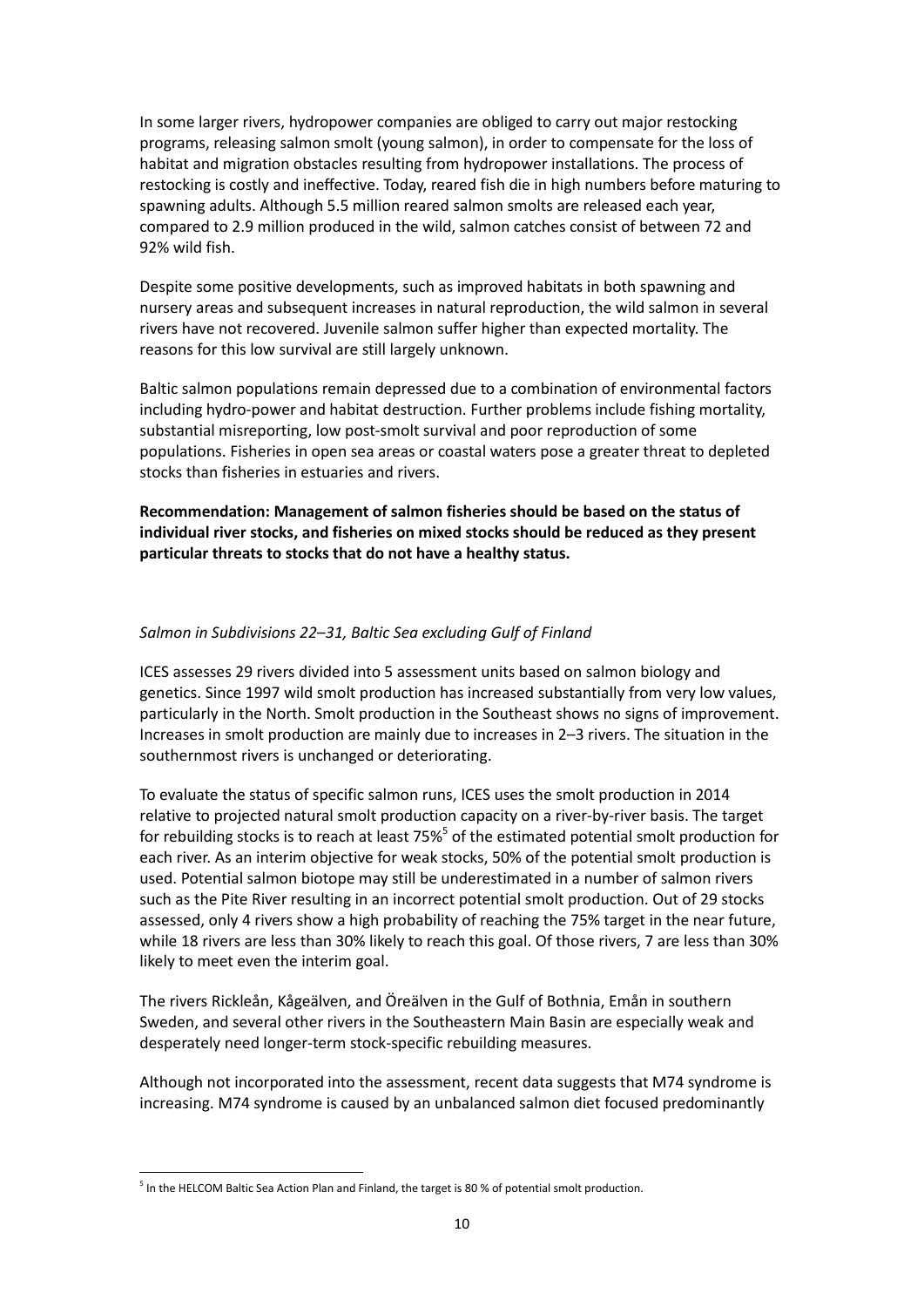In some larger rivers, hydropower companies are obliged to carry out major restocking programs, releasing salmon smolt (young salmon), in order to compensate for the loss of habitat and migration obstacles resulting from hydropower installations. The process of restocking is costly and ineffective. Today, reared fish die in high numbers before maturing to spawning adults. Although 5.5 million reared salmon smolts are released each year, compared to 2.9 million produced in the wild, salmon catches consist of between 72 and 92% wild fish.

Despite some positive developments, such as improved habitats in both spawning and nursery areas and subsequent increases in natural reproduction, the wild salmon in several rivers have not recovered. Juvenile salmon suffer higher than expected mortality. The reasons for this low survival are still largely unknown.

Baltic salmon populations remain depressed due to a combination of environmental factors including hydro-power and habitat destruction. Further problems include fishing mortality, substantial misreporting, low post-smolt survival and poor reproduction of some populations. Fisheries in open sea areas or coastal waters pose a greater threat to depleted stocks than fisheries in estuaries and rivers.

**Recommendation: Management of salmon fisheries should be based on the status of individual river stocks, and fisheries on mixed stocks should be reduced as they present particular threats to stocks that do not have a healthy status.** 

# *Salmon in Subdivisions 22–31, Baltic Sea excluding Gulf of Finland*

ICES assesses 29 rivers divided into 5 assessment units based on salmon biology and genetics. Since 1997 wild smolt production has increased substantially from very low values, particularly in the North. Smolt production in the Southeast shows no signs of improvement. Increases in smolt production are mainly due to increases in 2–3 rivers. The situation in the southernmost rivers is unchanged or deteriorating.

To evaluate the status of specific salmon runs, ICES uses the smolt production in 2014 relative to projected natural smolt production capacity on a river-by-river basis. The target for rebuilding stocks is to reach at least 75%<sup>5</sup> of the estimated potential smolt production for each river. As an interim objective for weak stocks, 50% of the potential smolt production is used. Potential salmon biotope may still be underestimated in a number of salmon rivers such as the Pite River resulting in an incorrect potential smolt production. Out of 29 stocks assessed, only 4 rivers show a high probability of reaching the 75% target in the near future, while 18 rivers are less than 30% likely to reach this goal. Of those rivers, 7 are less than 30% likely to meet even the interim goal.

The rivers Rickleån, Kågeälven, and Öreälven in the Gulf of Bothnia, Emån in southern Sweden, and several other rivers in the Southeastern Main Basin are especially weak and desperately need longer-term stock-specific rebuilding measures.

Although not incorporated into the assessment, recent data suggests that M74 syndrome is increasing. M74 syndrome is caused by an unbalanced salmon diet focused predominantly

1

<sup>&</sup>lt;sup>5</sup> In the HELCOM Baltic Sea Action Plan and Finland, the target is 80 % of potential smolt production.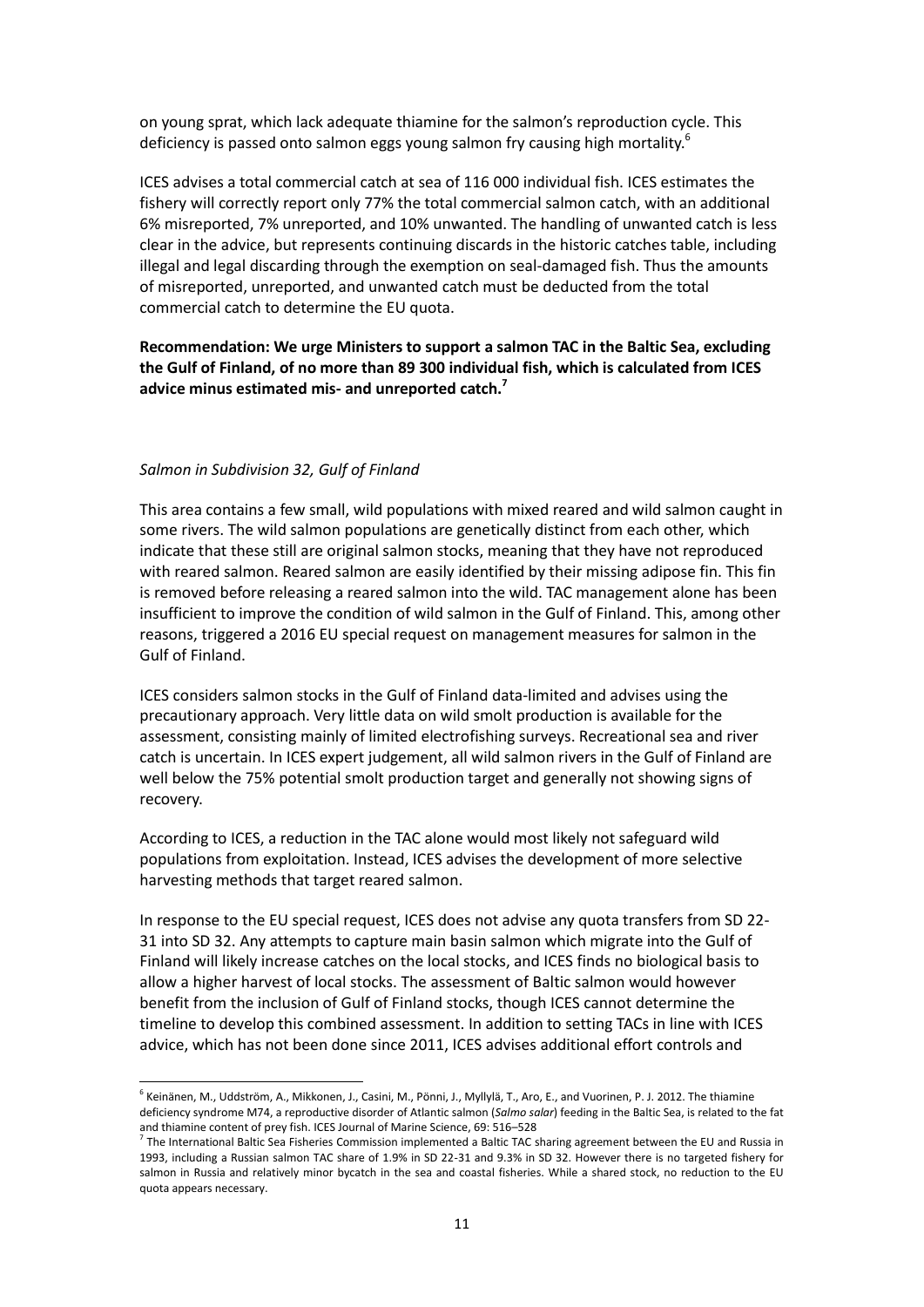on young sprat, which lack adequate thiamine for the salmon's reproduction cycle. This deficiency is passed onto salmon eggs young salmon fry causing high mortality.<sup>6</sup>

ICES advises a total commercial catch at sea of 116 000 individual fish. ICES estimates the fishery will correctly report only 77% the total commercial salmon catch, with an additional 6% misreported, 7% unreported, and 10% unwanted. The handling of unwanted catch is less clear in the advice, but represents continuing discards in the historic catches table, including illegal and legal discarding through the exemption on seal-damaged fish. Thus the amounts of misreported, unreported, and unwanted catch must be deducted from the total commercial catch to determine the EU quota.

**Recommendation: We urge Ministers to support a salmon TAC in the Baltic Sea, excluding the Gulf of Finland, of no more than 89 300 individual fish, which is calculated from ICES advice minus estimated mis- and unreported catch. 7**

### *Salmon in Subdivision 32, Gulf of Finland*

-

This area contains a few small, wild populations with mixed reared and wild salmon caught in some rivers. The wild salmon populations are genetically distinct from each other, which indicate that these still are original salmon stocks, meaning that they have not reproduced with reared salmon. Reared salmon are easily identified by their missing adipose fin. This fin is removed before releasing a reared salmon into the wild. TAC management alone has been insufficient to improve the condition of wild salmon in the Gulf of Finland. This, among other reasons, triggered a 2016 EU special request on management measures for salmon in the Gulf of Finland.

ICES considers salmon stocks in the Gulf of Finland data-limited and advises using the precautionary approach. Very little data on wild smolt production is available for the assessment, consisting mainly of limited electrofishing surveys. Recreational sea and river catch is uncertain. In ICES expert judgement, all wild salmon rivers in the Gulf of Finland are well below the 75% potential smolt production target and generally not showing signs of recovery.

According to ICES, a reduction in the TAC alone would most likely not safeguard wild populations from exploitation. Instead, ICES advises the development of more selective harvesting methods that target reared salmon.

In response to the EU special request, ICES does not advise any quota transfers from SD 22- 31 into SD 32. Any attempts to capture main basin salmon which migrate into the Gulf of Finland will likely increase catches on the local stocks, and ICES finds no biological basis to allow a higher harvest of local stocks. The assessment of Baltic salmon would however benefit from the inclusion of Gulf of Finland stocks, though ICES cannot determine the timeline to develop this combined assessment. In addition to setting TACs in line with ICES advice, which has not been done since 2011, ICES advises additional effort controls and

<sup>6</sup> Keinänen, M., Uddström, A., Mikkonen, J., Casini, M., Pönni, J., Myllylä, T., Aro, E., and Vuorinen, P. J. 2012. The thiamine deficiency syndrome M74, a reproductive disorder of Atlantic salmon (*Salmo salar*) feeding in the Baltic Sea, is related to the fat and thiamine content of prey fish. ICES Journal of Marine Science, 69: 516–528

<sup>&</sup>lt;sup>7</sup> The International Baltic Sea Fisheries Commission implemented a Baltic TAC sharing agreement between the EU and Russia in 1993, including a Russian salmon TAC share of 1.9% in SD 22-31 and 9.3% in SD 32. However there is no targeted fishery for salmon in Russia and relatively minor bycatch in the sea and coastal fisheries. While a shared stock, no reduction to the EU quota appears necessary.